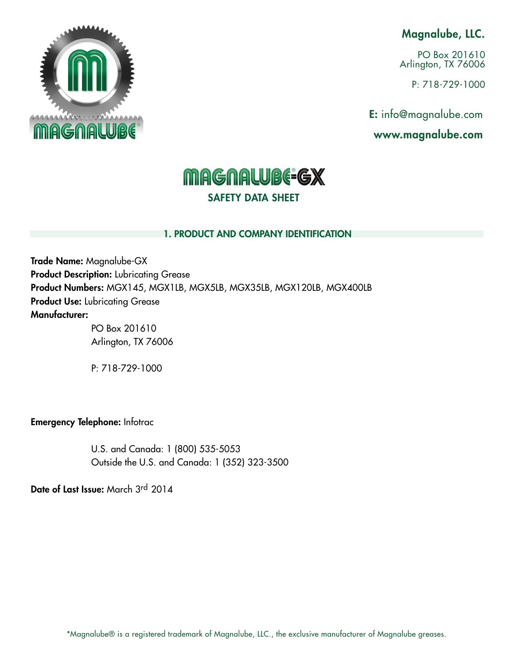## Magnalube, LLC.

PO Box 201610 Arlington, TX 76006

P: 718-729-1000

E: info@magnalube.com

www.magnalube.com



# **MAGNALUBE-GX** SAFETY DATA SHEET

#### 1. PRODUCT AND COMPANY IDENTIFICATION

Trade Name: Magnalube-GX **Product Description:** Lubricating Grease Product Numbers: MGX145, MGX1LB, MGX5LB, MGX35LB, MGX120LB, MGX400LB Product Use: Lubricating Grease Manufacturer:

PO Box 201610 Arlington, TX 76006

P: 718-729-1000

Emergency Telephone: Infotrac

U.S. and Canada: 1 (800) 535-5053 Outside the U.S. and Canada: 1 (352) 323-3500

Date of Last Issue: March 3rd 2014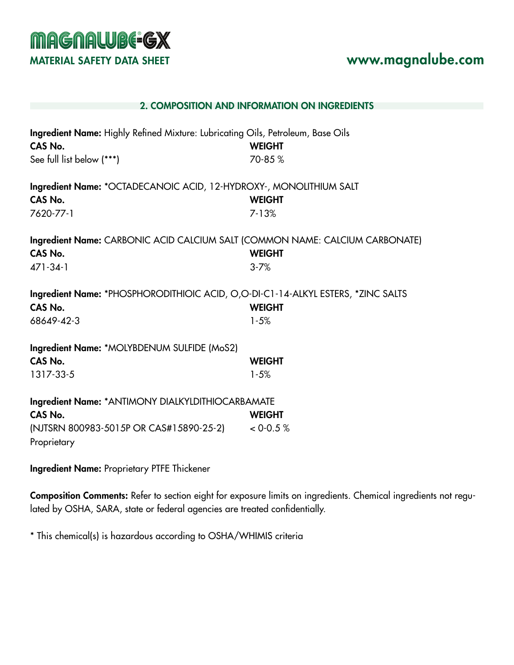

|                                                                                                                         | 2. COMPOSITION AND INFORMATION ON INGREDIENTS |
|-------------------------------------------------------------------------------------------------------------------------|-----------------------------------------------|
| Ingredient Name: Highly Refined Mixture: Lubricating Oils, Petroleum, Base Oils<br>CAS No.<br>See full list below (***) | <b>WEIGHT</b><br>70-85%                       |
| Ingredient Name: *OCTADECANOIC ACID, 12-HYDROXY-, MONOLITHIUM SALT<br>CAS No.<br>7620-77-1                              | <b>WEIGHT</b><br>$7 - 13%$                    |
| Ingredient Name: CARBONIC ACID CALCIUM SALT (COMMON NAME: CALCIUM CARBONATE)<br>CAS No.<br>471-34-1                     | <b>WEIGHT</b><br>$3 - 7%$                     |
| Ingredient Name: *PHOSPHORODITHIOIC ACID, O,O-DI-C1-14-ALKYL ESTERS, *ZINC SALTS<br>CAS No.<br>68649-42-3               | <b>WEIGHT</b><br>$1 - 5%$                     |
| Ingredient Name: *MOLYBDENUM SULFIDE (MoS2)<br>CAS No.<br>1317-33-5                                                     | <b>WEIGHT</b><br>$1 - 5%$                     |
| Ingredient Name: * ANTIMONY DIALKYLDITHIOCARBAMATE<br>CAS No.<br>(NJTSRN 800983-5015P OR CAS#15890-25-2)<br>Proprietary | <b>WEIGHT</b><br>< 0.05 %                     |

Ingredient Name: Proprietary PTFE Thickener

Composition Comments: Refer to section eight for exposure limits on ingredients. Chemical ingredients not regulated by OSHA, SARA, state or federal agencies are treated confidentially.

\* This chemical(s) is hazardous according to OSHA/WHIMIS criteria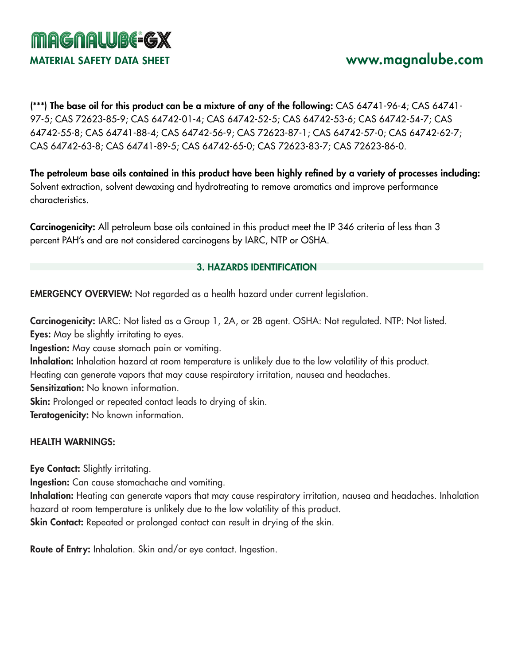

(\*\*\*) The base oil for this product can be a mixture of any of the following: CAS 64741-96-4; CAS 64741- 97-5; CAS 72623-85-9; CAS 64742-01-4; CAS 64742-52-5; CAS 64742-53-6; CAS 64742-54-7; CAS 64742-55-8; CAS 64741-88-4; CAS 64742-56-9; CAS 72623-87-1; CAS 64742-57-0; CAS 64742-62-7; CAS 64742-63-8; CAS 64741-89-5; CAS 64742-65-0; CAS 72623-83-7; CAS 72623-86-0.

The petroleum base oils contained in this product have been highly refined by a variety of processes including: Solvent extraction, solvent dewaxing and hydrotreating to remove aromatics and improve performance characteristics.

Carcinogenicity: All petroleum base oils contained in this product meet the IP 346 criteria of less than 3 percent PAH's and are not considered carcinogens by IARC, NTP or OSHA.

#### 3. HAZARDS IDENTIFICATION

EMERGENCY OVERVIEW: Not regarded as a health hazard under current legislation.

Carcinogenicity: IARC: Not listed as a Group 1, 2A, or 2B agent. OSHA: Not regulated. NTP: Not listed. Eyes: May be slightly irritating to eyes.

Ingestion: May cause stomach pain or vomiting.

Inhalation: Inhalation hazard at room temperature is unlikely due to the low volatility of this product.

Heating can generate vapors that may cause respiratory irritation, nausea and headaches.

Sensitization: No known information.

Skin: Prolonged or repeated contact leads to drying of skin.

Teratogenicity: No known information.

## HEALTH WARNINGS:

Eye Contact: Slightly irritating.

Ingestion: Can cause stomachache and vomiting.

Inhalation: Heating can generate vapors that may cause respiratory irritation, nausea and headaches. Inhalation hazard at room temperature is unlikely due to the low volatility of this product.

Skin Contact: Repeated or prolonged contact can result in drying of the skin.

Route of Entry: Inhalation. Skin and/or eye contact. Ingestion.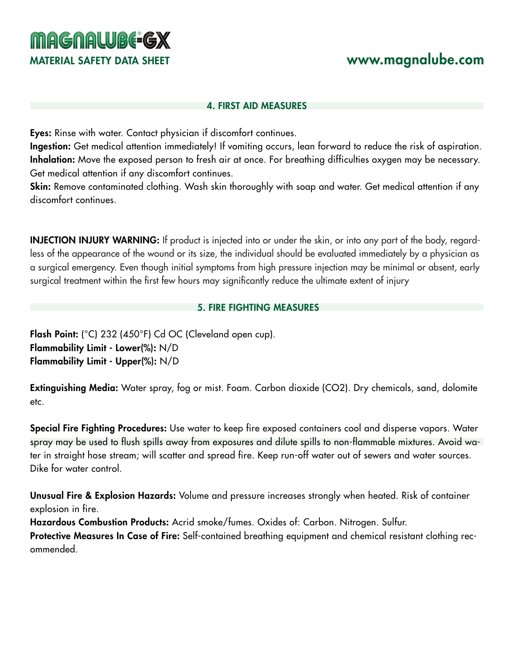# MATERIAL SAFETY DATA SHEET www.magnalube.com

#### 4. FIRST AID MEASURES

Eyes: Rinse with water. Contact physician if discomfort continues.

**MAGNALUBE-GX** 

Ingestion: Get medical attention immediately! If vomiting occurs, lean forward to reduce the risk of aspiration. Inhalation: Move the exposed person to fresh air at once. For breathing difficulties oxygen may be necessary. Get medical attention if any discomfort continues.

Skin: Remove contaminated clothing. Wash skin thoroughly with soap and water. Get medical attention if any discomfort continues.

INJECTION INJURY WARNING: If product is injected into or under the skin, or into any part of the body, regardless of the appearance of the wound or its size, the individual should be evaluated immediately by a physician as a surgical emergency. Even though initial symptoms from high pressure injection may be minimal or absent, early surgical treatment within the first few hours may significantly reduce the ultimate extent of injury

#### 5. FIRE FIGHTING MEASURES

Flash Point: (°C) 232 (450°F) Cd OC (Cleveland open cup). Flammability Limit - Lower(%): N/D Flammability Limit - Upper(%): N/D

Extinguishing Media: Water spray, fog or mist. Foam. Carbon dioxide (CO2). Dry chemicals, sand, dolomite etc.

Special Fire Fighting Procedures: Use water to keep fire exposed containers cool and disperse vapors. Water spray may be used to flush spills away from exposures and dilute spills to non-flammable mixtures. Avoid water in straight hose stream; will scatter and spread fire. Keep run-off water out of sewers and water sources. Dike for water control.

Unusual Fire & Explosion Hazards: Volume and pressure increases strongly when heated. Risk of container explosion in fire.

Hazardous Combustion Products: Acrid smoke/fumes. Oxides of: Carbon. Nitrogen. Sulfur.

Protective Measures In Case of Fire: Self-contained breathing equipment and chemical resistant clothing recommended.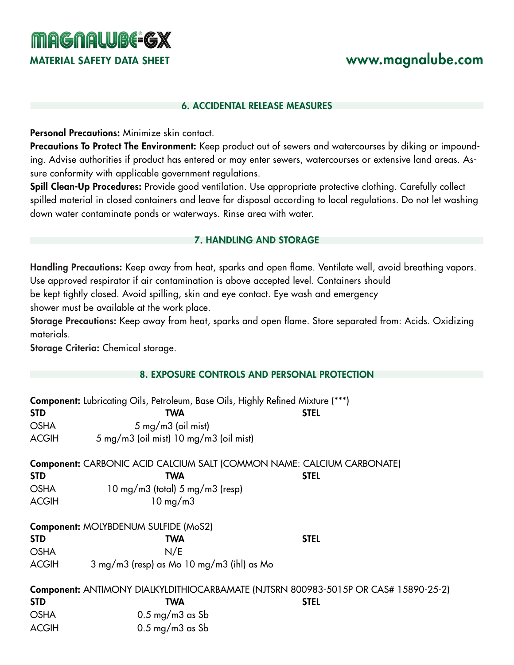# **MAGNALUBE-GX**

# MATERIAL SAFETY DATA SHEET **www.magnalube.com**

#### 6. ACCIDENTAL RELEASE MEASURES

Personal Precautions: Minimize skin contact.

Precautions To Protect The Environment: Keep product out of sewers and watercourses by diking or impounding. Advise authorities if product has entered or may enter sewers, watercourses or extensive land areas. Assure conformity with applicable government regulations.

Spill Clean-Up Procedures: Provide good ventilation. Use appropriate protective clothing. Carefully collect spilled material in closed containers and leave for disposal according to local regulations. Do not let washing down water contaminate ponds or waterways. Rinse area with water.

#### 7. HANDLING AND STORAGE

Handling Precautions: Keep away from heat, sparks and open flame. Ventilate well, avoid breathing vapors. Use approved respirator if air contamination is above accepted level. Containers should

be kept tightly closed. Avoid spilling, skin and eye contact. Eye wash and emergency

shower must be available at the work place.

Storage Precautions: Keep away from heat, sparks and open flame. Store separated from: Acids. Oxidizing materials.

Storage Criteria: Chemical storage.

#### 8. EXPOSURE CONTROLS AND PERSONAL PROTECTION

|              | <b>Component:</b> Lubricating Oils, Petroleum, Base Oils, Highly Refined Mixture (***)     |             |
|--------------|--------------------------------------------------------------------------------------------|-------------|
| <b>STD</b>   | TWA                                                                                        | <b>STEL</b> |
| <b>OSHA</b>  | $5 \text{ mg/m}$ $3 \text{ (oil mist)}$                                                    |             |
| <b>ACGIH</b> | 5 mg/m3 (oil mist) 10 mg/m3 (oil mist)                                                     |             |
|              | Component: CARBONIC ACID CALCIUM SALT (COMMON NAME: CALCIUM CARBONATE)                     |             |
| <b>STD</b>   | <b>TWA</b>                                                                                 | <b>STEL</b> |
| <b>OSHA</b>  | $10 \text{ mg/mol}$ (total) 5 mg/m3 (resp)                                                 |             |
| <b>ACGIH</b> | $10 \text{ mg/m}$                                                                          |             |
|              | Component: MOLYBDENUM SULFIDE (MoS2)                                                       |             |
| <b>STD</b>   | TWA                                                                                        | <b>STEL</b> |
| <b>OSHA</b>  | N/E                                                                                        |             |
| <b>ACGIH</b> | 3 mg/m3 (resp) as Mo 10 mg/m3 (ihl) as Mo                                                  |             |
|              | <b>Component: ANTIMONY DIALKYLDITHIOCARBAMATE (NJTSRN 800983-5015P OR CAS# 15890-25-2)</b> |             |
| <b>STD</b>   | TWA                                                                                        | <b>STEL</b> |
| <b>OSHA</b>  | $0.5 \text{ mg/m}$ 3 as Sb                                                                 |             |
| <b>ACGIH</b> | $0.5$ mg/m $3$ as Sb                                                                       |             |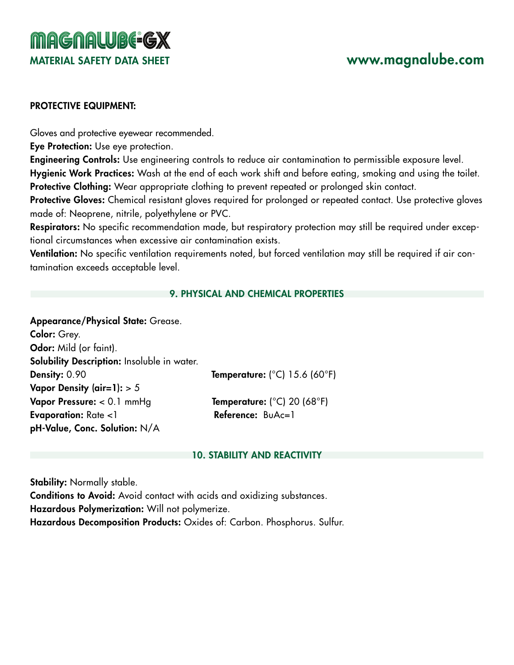# **MAGNALUBE-GX** MATERIAL SAFETY DATA SHEET www.magnalube.com

#### PROTECTIVE EQUIPMENT:

Gloves and protective eyewear recommended.

Eye Protection: Use eye protection.

Engineering Controls: Use engineering controls to reduce air contamination to permissible exposure level. Hygienic Work Practices: Wash at the end of each work shift and before eating, smoking and using the toilet. Protective Clothing: Wear appropriate clothing to prevent repeated or prolonged skin contact.

Protective Gloves: Chemical resistant gloves required for prolonged or repeated contact. Use protective gloves made of: Neoprene, nitrile, polyethylene or PVC.

Respirators: No specific recommendation made, but respiratory protection may still be required under exceptional circumstances when excessive air contamination exists.

Ventilation: No specific ventilation requirements noted, but forced ventilation may still be required if air contamination exceeds acceptable level.

#### 9. PHYSICAL AND CHEMICAL PROPERTIES

Appearance/Physical State: Grease.

Color: Grey. Odor: Mild (or faint). Solubility Description: Insoluble in water. Density: 0.90 Temperature: (°C) 15.6 (60°F) Vapor Density (air=1):  $> 5$ Vapor Pressure:  $< 0.1$  mmHg Temperature:  $(^{\circ}C)$  20 (68 $^{\circ}F$ ) Evaporation: Rate <1 Reference: BuAc=1 pH-Value, Conc. Solution: N/A

#### 10. STABILITY AND REACTIVITY

Stability: Normally stable.

Conditions to Avoid: Avoid contact with acids and oxidizing substances. Hazardous Polymerization: Will not polymerize. Hazardous Decomposition Products: Oxides of: Carbon. Phosphorus. Sulfur.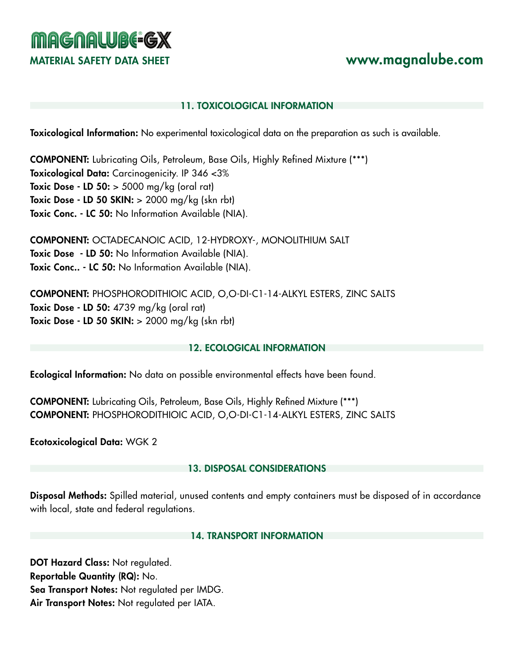# **MAGNALUBE-GX** MATERIAL SAFETY DATA SHEET www.magnalube.com

## 11. TOXICOLOGICAL INFORMATION

Toxicological Information: No experimental toxicological data on the preparation as such is available.

COMPONENT: Lubricating Oils, Petroleum, Base Oils, Highly Refined Mixture (\*\*\*) Toxicological Data: Carcinogenicity. IP 346 <3% **Toxic Dose - LD 50:**  $>$  5000 mg/kg (oral rat) Toxic Dose - LD 50 SKIN:  $> 2000$  mg/kg (skn rbt) Toxic Conc. - LC 50: No Information Available (NIA).

COMPONENT: OCTADECANOIC ACID, 12-HYDROXY-, MONOLITHIUM SALT Toxic Dose - LD 50: No Information Available (NIA). Toxic Conc.. - LC 50: No Information Available (NIA).

COMPONENT: PHOSPHORODITHIOIC ACID, O,O-DI-C1-14-ALKYL ESTERS, ZINC SALTS Toxic Dose - LD 50: 4739 mg/kg (oral rat) **Toxic Dose - LD 50 SKIN:**  $> 2000$  mg/kg (skn rbt)

## 12. ECOLOGICAL INFORMATION

Ecological Information: No data on possible environmental effects have been found.

COMPONENT: Lubricating Oils, Petroleum, Base Oils, Highly Refined Mixture (\*\*\*) COMPONENT: PHOSPHORODITHIOIC ACID, O,O-DI-C1-14-ALKYL ESTERS, ZINC SALTS

Ecotoxicological Data: WGK 2

## 13. DISPOSAL CONSIDERATIONS

Disposal Methods: Spilled material, unused contents and empty containers must be disposed of in accordance with local, state and federal regulations.

## 14. TRANSPORT INFORMATION

DOT Hazard Class: Not regulated. Reportable Quantity (RQ): No. Sea Transport Notes: Not regulated per IMDG. Air Transport Notes: Not regulated per IATA.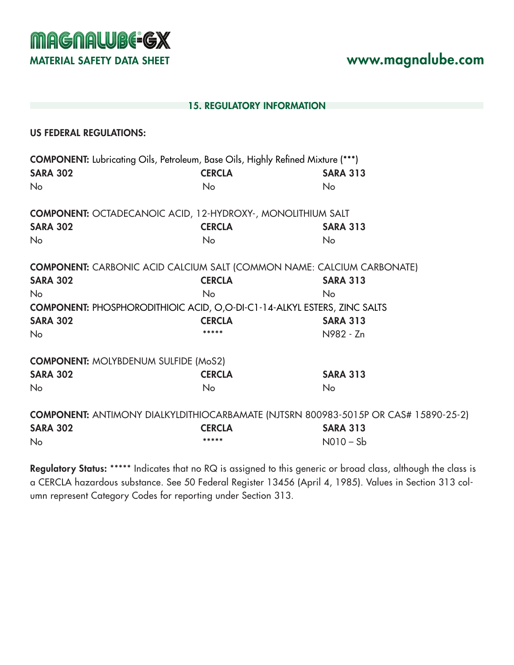**MAGNALUBE-GX** MATERIAL SAFETY DATA SHEET **www.magnalube.com** 

#### 15. REGULATORY INFORMATION

#### US FEDERAL REGULATIONS:

|                                             | <b>COMPONENT:</b> Lubricating Oils, Petroleum, Base Oils, Highly Refined Mixture (***) |                                                                                            |
|---------------------------------------------|----------------------------------------------------------------------------------------|--------------------------------------------------------------------------------------------|
| <b>SARA 302</b>                             | <b>CERCLA</b>                                                                          | <b>SARA 313</b>                                                                            |
| <b>No</b>                                   | No                                                                                     | <b>No</b>                                                                                  |
|                                             | <b>COMPONENT: OCTADECANOIC ACID, 12-HYDROXY-, MONOLITHIUM SALT</b>                     |                                                                                            |
| <b>SARA 302</b>                             | <b>CERCLA</b>                                                                          | <b>SARA 313</b>                                                                            |
| <b>No</b>                                   | <b>No</b>                                                                              | No.                                                                                        |
|                                             |                                                                                        | <b>COMPONENT:</b> CARBONIC ACID CALCIUM SALT (COMMON NAME: CALCIUM CARBONATE)              |
| <b>SARA 302</b>                             | <b>CERCLA</b>                                                                          | <b>SARA 313</b>                                                                            |
| <b>No</b>                                   | <b>No</b>                                                                              | No.                                                                                        |
|                                             | <b>COMPONENT: PHOSPHORODITHIOIC ACID, O,O-DI-C1-14-ALKYL ESTERS, ZINC SALTS</b>        |                                                                                            |
| <b>SARA 302</b>                             | <b>CERCLA</b>                                                                          | <b>SARA 313</b>                                                                            |
| <b>No</b>                                   |                                                                                        | N982 - Zn                                                                                  |
| <b>COMPONENT: MOLYBDENUM SULFIDE (MoS2)</b> |                                                                                        |                                                                                            |
| <b>SARA 302</b>                             | <b>CERCLA</b>                                                                          | <b>SARA 313</b>                                                                            |
| <b>No</b>                                   | No                                                                                     | <b>No</b>                                                                                  |
|                                             |                                                                                        | <b>COMPONENT: ANTIMONY DIALKYLDITHIOCARBAMATE (NJTSRN 800983-5015P OR CAS# 15890-25-2)</b> |
| <b>SARA 302</b>                             | <b>CERCLA</b>                                                                          | <b>SARA 313</b>                                                                            |
| No                                          |                                                                                        | $N010-Sb$                                                                                  |

Regulatory Status: \*\*\*\*\* Indicates that no RQ is assigned to this generic or broad class, although the class is a CERCLA hazardous substance. See 50 Federal Register 13456 (April 4, 1985). Values in Section 313 column represent Category Codes for reporting under Section 313.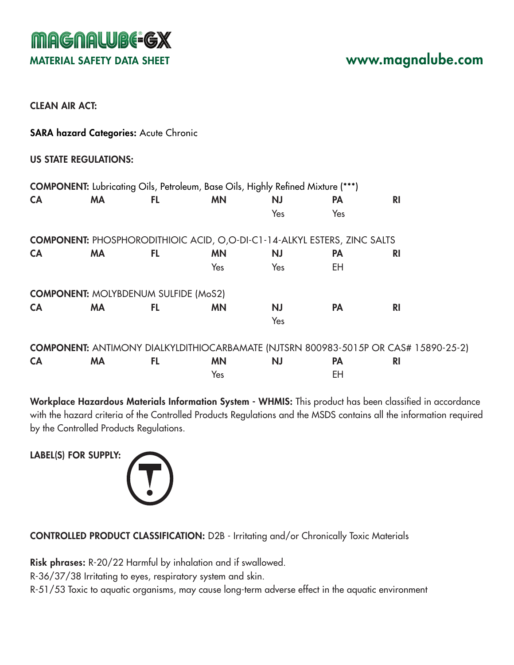CLEAN AIR ACT:

SARA hazard Categories: Acute Chronic

#### US STATE REGULATIONS:

| <b>CA</b> | <b>MA</b> | FL.                                         | <b>MN</b>                                                                       | <b>NJ</b> | <b>PA</b> | R <sub>l</sub>                                                                             |  |
|-----------|-----------|---------------------------------------------|---------------------------------------------------------------------------------|-----------|-----------|--------------------------------------------------------------------------------------------|--|
|           |           |                                             |                                                                                 | Yes       | Yes       |                                                                                            |  |
|           |           |                                             | <b>COMPONENT:</b> PHOSPHORODITHIOIC ACID, O,O-DI-C1-14-ALKYL ESTERS, ZINC SALTS |           |           |                                                                                            |  |
| <b>CA</b> | <b>MA</b> | FL.                                         | <b>MN</b>                                                                       | <b>NJ</b> | <b>PA</b> | <b>RI</b>                                                                                  |  |
|           |           |                                             | Yes                                                                             | Yes       | EH        |                                                                                            |  |
|           |           | <b>COMPONENT: MOLYBDENUM SULFIDE (MoS2)</b> |                                                                                 |           |           |                                                                                            |  |
| <b>CA</b> | <b>MA</b> | FL.                                         | <b>MN</b>                                                                       | <b>NJ</b> | <b>PA</b> | <b>RI</b>                                                                                  |  |
|           |           |                                             |                                                                                 | Yes       |           |                                                                                            |  |
|           |           |                                             |                                                                                 |           |           | <b>COMPONENT: ANTIMONY DIALKYLDITHIOCARBAMATE (NJTSRN 800983-5015P OR CAS# 15890-25-2)</b> |  |

|           |           |           |     |    | <b>COMPONENT:</b> ANTIMONY DIALKYLDITHIOCARBAMATE (NJTSRN 800983-5015P OR CAS# 15890-25-2) |
|-----------|-----------|-----------|-----|----|--------------------------------------------------------------------------------------------|
| <b>CA</b> | <b>MA</b> | <b>MN</b> | NJ. |    |                                                                                            |
|           |           | Yes       |     | FH |                                                                                            |

Workplace Hazardous Materials Information System - WHMIS: This product has been classified in accordance with the hazard criteria of the Controlled Products Regulations and the MSDS contains all the information required by the Controlled Products Regulations.

LABEL(S) FOR SUPPLY:



CONTROLLED PRODUCT CLASSIFICATION: D2B - Irritating and/or Chronically Toxic Materials

Risk phrases: R-20/22 Harmful by inhalation and if swallowed.

R-36/37/38 Irritating to eyes, respiratory system and skin.

R-51/53 Toxic to aquatic organisms, may cause long-term adverse effect in the aquatic environment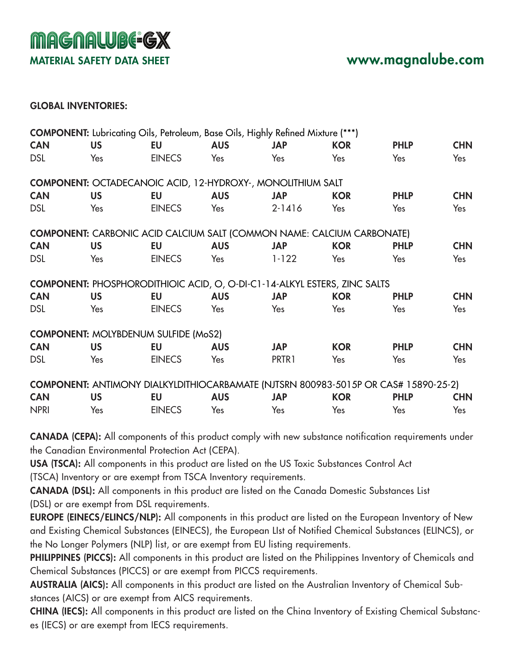#### GLOBAL INVENTORIES:

|             |           | <b>COMPONENT:</b> Lubricating Oils, Petroleum, Base Oils, Highly Refined Mixture (***)     |            |            |            |             |            |
|-------------|-----------|--------------------------------------------------------------------------------------------|------------|------------|------------|-------------|------------|
| <b>CAN</b>  | <b>US</b> | EU                                                                                         | <b>AUS</b> | <b>JAP</b> | <b>KOR</b> | <b>PHLP</b> | <b>CHN</b> |
| <b>DSL</b>  | Yes       | <b>EINECS</b>                                                                              | Yes        | Yes        | Yes        | Yes         | Yes        |
|             |           | <b>COMPONENT: OCTADECANOIC ACID, 12-HYDROXY-, MONOLITHIUM SALT</b>                         |            |            |            |             |            |
| <b>CAN</b>  | <b>US</b> | <b>EU</b>                                                                                  | <b>AUS</b> | <b>JAP</b> | <b>KOR</b> | <b>PHLP</b> | <b>CHN</b> |
| <b>DSL</b>  | Yes       | <b>EINECS</b>                                                                              | Yes        | $2 - 1416$ | Yes        | Yes         | Yes        |
|             |           | <b>COMPONENT:</b> CARBONIC ACID CALCIUM SALT (COMMON NAME: CALCIUM CARBONATE)              |            |            |            |             |            |
| <b>CAN</b>  | <b>US</b> | EU                                                                                         | <b>AUS</b> | <b>JAP</b> | <b>KOR</b> | <b>PHLP</b> | <b>CHN</b> |
| <b>DSL</b>  | Yes       | <b>EINECS</b>                                                                              | Yes        | $1 - 122$  | Yes        | Yes         | Yes        |
|             |           | <b>COMPONENT: PHOSPHORODITHIOIC ACID, O, O-DI-C1-14-ALKYL ESTERS, ZINC SALTS</b>           |            |            |            |             |            |
| <b>CAN</b>  | <b>US</b> | EU                                                                                         | <b>AUS</b> | <b>JAP</b> | <b>KOR</b> | <b>PHLP</b> | <b>CHN</b> |
| <b>DSL</b>  | Yes       | <b>EINECS</b>                                                                              | Yes        | Yes        | Yes        | Yes         | Yes        |
|             |           | <b>COMPONENT: MOLYBDENUM SULFIDE (MoS2)</b>                                                |            |            |            |             |            |
| <b>CAN</b>  | <b>US</b> | <b>EU</b>                                                                                  | <b>AUS</b> | <b>JAP</b> | <b>KOR</b> | <b>PHLP</b> | <b>CHN</b> |
| <b>DSL</b>  | Yes       | <b>EINECS</b>                                                                              | Yes        | PRTR1      | Yes        | Yes         | Yes        |
|             |           | <b>COMPONENT: ANTIMONY DIALKYLDITHIOCARBAMATE (NJTSRN 800983-5015P OR CAS# 15890-25-2)</b> |            |            |            |             |            |
| <b>CAN</b>  | <b>US</b> | <b>EU</b>                                                                                  | <b>AUS</b> | <b>JAP</b> | <b>KOR</b> | <b>PHLP</b> | <b>CHN</b> |
| <b>NPRI</b> | Yes       | <b>EINECS</b>                                                                              | Yes        | Yes        | Yes        | Yes         | Yes        |

CANADA (CEPA): All components of this product comply with new substance notification requirements under the Canadian Environmental Protection Act (CEPA).

USA (TSCA): All components in this product are listed on the US Toxic Substances Control Act (TSCA) Inventory or are exempt from TSCA Inventory requirements.

CANADA (DSL): All components in this product are listed on the Canada Domestic Substances List (DSL) or are exempt from DSL requirements.

EUROPE (EINECS/ELINCS/NLP): All components in this product are listed on the European Inventory of New and Existing Chemical Substances (EINECS), the European LIst of Notified Chemical Substances (ELINCS), or the No Longer Polymers (NLP) list, or are exempt from EU listing requirements.

PHILIPPINES (PICCS): All components in this product are listed on the Philippines Inventory of Chemicals and Chemical Substances (PICCS) or are exempt from PICCS requirements.

AUSTRALIA (AICS): All components in this product are listed on the Australian Inventory of Chemical Substances (AICS) or are exempt from AICS requirements.

CHINA (IECS): All components in this product are listed on the China Inventory of Existing Chemical Substances (IECS) or are exempt from IECS requirements.